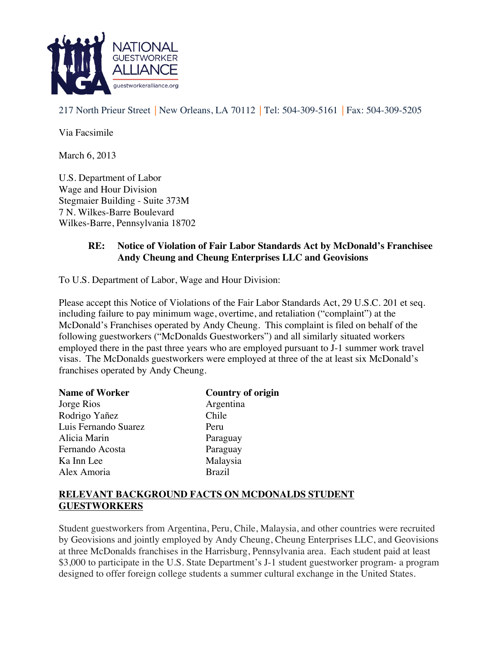

217 North Prieur Street | New Orleans, LA 70112 | Tel: 504-309-5161 | Fax: 504-309-5205

Via Facsimile

March 6, 2013

U.S. Department of Labor Wage and Hour Division Stegmaier Building - Suite 373M 7 N. Wilkes-Barre Boulevard Wilkes-Barre, Pennsylvania 18702

## **RE: Notice of Violation of Fair Labor Standards Act by McDonald's Franchisee Andy Cheung and Cheung Enterprises LLC and Geovisions**

To U.S. Department of Labor, Wage and Hour Division:

Please accept this Notice of Violations of the Fair Labor Standards Act, 29 U.S.C. 201 et seq. including failure to pay minimum wage, overtime, and retaliation ("complaint") at the McDonald's Franchises operated by Andy Cheung. This complaint is filed on behalf of the following guestworkers ("McDonalds Guestworkers") and all similarly situated workers employed there in the past three years who are employed pursuant to J-1 summer work travel visas. The McDonalds guestworkers were employed at three of the at least six McDonald's franchises operated by Andy Cheung.

| <b>Name of Worker</b> | Country of origin |
|-----------------------|-------------------|
| Jorge Rios            | Argentina         |
| Rodrigo Yañez         | Chile             |
| Luis Fernando Suarez  | Peru              |
| Alicia Marin          | Paraguay          |
| Fernando Acosta       | Paraguay          |
| Ka Inn Lee            | Malaysia          |
| Alex Amoria           | <b>Brazil</b>     |

#### **RELEVANT BACKGROUND FACTS ON MCDONALDS STUDENT GUESTWORKERS**

Student guestworkers from Argentina, Peru, Chile, Malaysia, and other countries were recruited by Geovisions and jointly employed by Andy Cheung, Cheung Enterprises LLC, and Geovisions at three McDonalds franchises in the Harrisburg, Pennsylvania area. Each student paid at least \$3,000 to participate in the U.S. State Department's J-1 student guestworker program- a program designed to offer foreign college students a summer cultural exchange in the United States.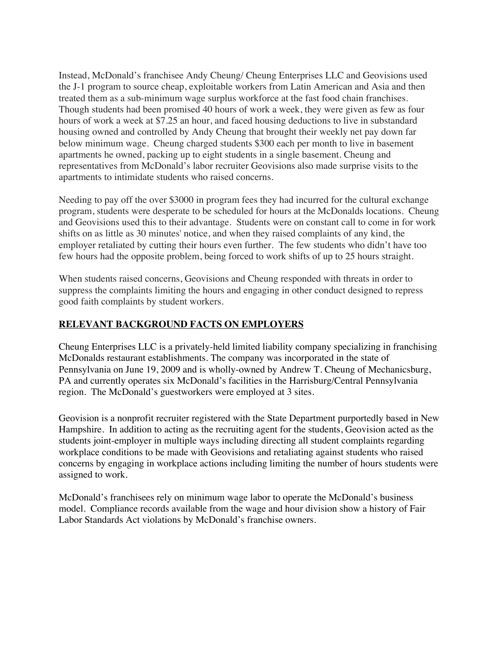Instead, McDonald's franchisee Andy Cheung/ Cheung Enterprises LLC and Geovisions used the J-1 program to source cheap, exploitable workers from Latin American and Asia and then treated them as a sub-minimum wage surplus workforce at the fast food chain franchises. Though students had been promised 40 hours of work a week, they were given as few as four hours of work a week at \$7.25 an hour, and faced housing deductions to live in substandard housing owned and controlled by Andy Cheung that brought their weekly net pay down far below minimum wage. Cheung charged students \$300 each per month to live in basement apartments he owned, packing up to eight students in a single basement. Cheung and representatives from McDonald's labor recruiter Geovisions also made surprise visits to the apartments to intimidate students who raised concerns.

Needing to pay off the over \$3000 in program fees they had incurred for the cultural exchange program, students were desperate to be scheduled for hours at the McDonalds locations. Cheung and Geovisions used this to their advantage. Students were on constant call to come in for work shifts on as little as 30 minutes' notice, and when they raised complaints of any kind, the employer retaliated by cutting their hours even further. The few students who didn't have too few hours had the opposite problem, being forced to work shifts of up to 25 hours straight.

When students raised concerns, Geovisions and Cheung responded with threats in order to suppress the complaints limiting the hours and engaging in other conduct designed to repress good faith complaints by student workers.

#### **RELEVANT BACKGROUND FACTS ON EMPLOYERS**

Cheung Enterprises LLC is a privately-held limited liability company specializing in franchising McDonalds restaurant establishments. The company was incorporated in the state of Pennsylvania on June 19, 2009 and is wholly-owned by Andrew T. Cheung of Mechanicsburg, PA and currently operates six McDonald's facilities in the Harrisburg/Central Pennsylvania region. The McDonald's guestworkers were employed at 3 sites.

Geovision is a nonprofit recruiter registered with the State Department purportedly based in New Hampshire. In addition to acting as the recruiting agent for the students, Geovision acted as the students joint-employer in multiple ways including directing all student complaints regarding workplace conditions to be made with Geovisions and retaliating against students who raised concerns by engaging in workplace actions including limiting the number of hours students were assigned to work.

McDonald's franchisees rely on minimum wage labor to operate the McDonald's business model. Compliance records available from the wage and hour division show a history of Fair Labor Standards Act violations by McDonald's franchise owners.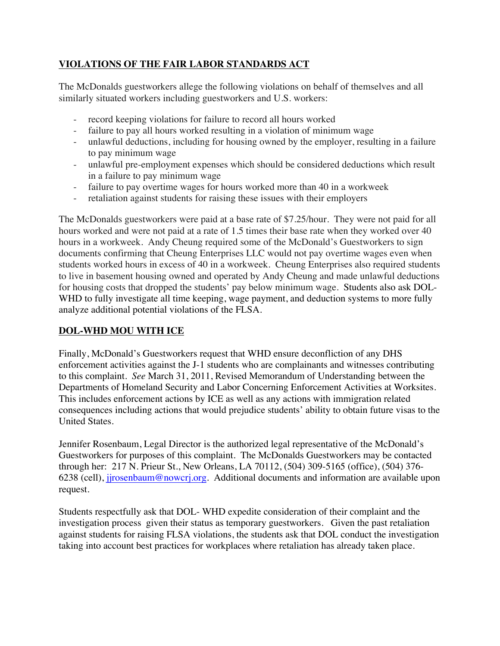## **VIOLATIONS OF THE FAIR LABOR STANDARDS ACT**

The McDonalds guestworkers allege the following violations on behalf of themselves and all similarly situated workers including guestworkers and U.S. workers:

- record keeping violations for failure to record all hours worked
- failure to pay all hours worked resulting in a violation of minimum wage
- unlawful deductions, including for housing owned by the employer, resulting in a failure to pay minimum wage
- unlawful pre-employment expenses which should be considered deductions which result in a failure to pay minimum wage
- failure to pay overtime wages for hours worked more than 40 in a workweek
- retaliation against students for raising these issues with their employers

The McDonalds guestworkers were paid at a base rate of \$7.25/hour. They were not paid for all hours worked and were not paid at a rate of 1.5 times their base rate when they worked over 40 hours in a workweek. Andy Cheung required some of the McDonald's Guestworkers to sign documents confirming that Cheung Enterprises LLC would not pay overtime wages even when students worked hours in excess of 40 in a workweek. Cheung Enterprises also required students to live in basement housing owned and operated by Andy Cheung and made unlawful deductions for housing costs that dropped the students' pay below minimum wage. Students also ask DOL-WHD to fully investigate all time keeping, wage payment, and deduction systems to more fully analyze additional potential violations of the FLSA.

# **DOL-WHD MOU WITH ICE**

Finally, McDonald's Guestworkers request that WHD ensure deconfliction of any DHS enforcement activities against the J-1 students who are complainants and witnesses contributing to this complaint. *See* March 31, 2011, Revised Memorandum of Understanding between the Departments of Homeland Security and Labor Concerning Enforcement Activities at Worksites. This includes enforcement actions by ICE as well as any actions with immigration related consequences including actions that would prejudice students' ability to obtain future visas to the United States.

Jennifer Rosenbaum, Legal Director is the authorized legal representative of the McDonald's Guestworkers for purposes of this complaint. The McDonalds Guestworkers may be contacted through her: 217 N. Prieur St., New Orleans, LA 70112, (504) 309-5165 (office), (504) 376- 6238 (cell), jjrosenbaum@nowcrj.org. Additional documents and information are available upon request.

Students respectfully ask that DOL- WHD expedite consideration of their complaint and the investigation process given their status as temporary guestworkers. Given the past retaliation against students for raising FLSA violations, the students ask that DOL conduct the investigation taking into account best practices for workplaces where retaliation has already taken place.